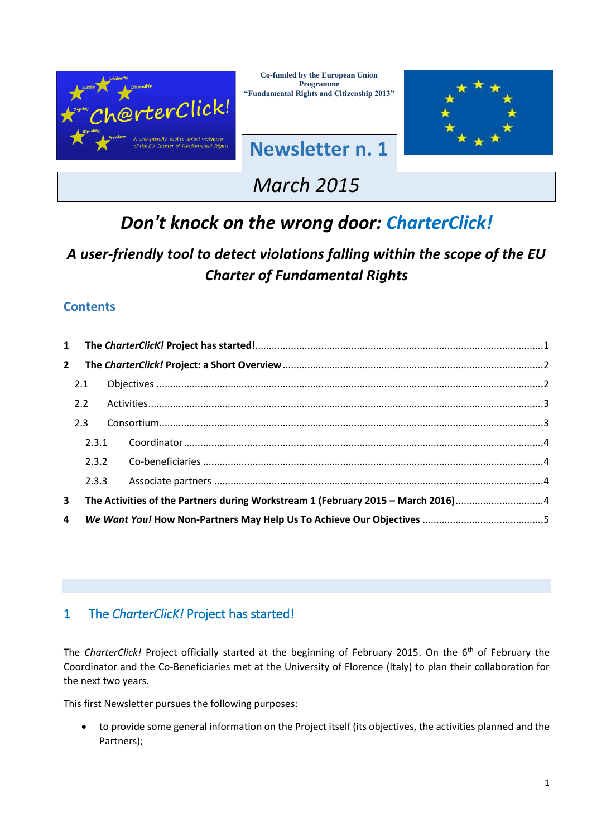

**Co-funded by the European Union Programme "Fundamental Rights and Citizenship 2013"**

**Newsletter n. 1**



# *March 2015*

# *Don't knock on the wrong door: CharterClick!*

## *A user-friendly tool to detect violations falling within the scope of the EU Charter of Fundamental Rights*

## **Contents**

| $\mathbf{1}$ |       |                                                                                 |  |
|--------------|-------|---------------------------------------------------------------------------------|--|
| $2^{\circ}$  |       |                                                                                 |  |
|              | 2.1   |                                                                                 |  |
|              | 2.2   |                                                                                 |  |
|              | 2.3   |                                                                                 |  |
|              | 2.3.1 |                                                                                 |  |
|              | 2.3.2 |                                                                                 |  |
|              | 2.3.3 |                                                                                 |  |
| $\mathbf{3}$ |       | The Activities of the Partners during Workstream 1 (February 2015 - March 2016) |  |
| 4            |       |                                                                                 |  |

## <span id="page-0-0"></span>1 The *CharterClicK!* Project has started!

The *CharterClick!* Project officially started at the beginning of February 2015. On the 6<sup>th</sup> of February the Coordinator and the Co-Beneficiaries met at the University of Florence (Italy) to plan their collaboration for the next two years.

This first Newsletter pursues the following purposes:

 to provide some general information on the Project itself (its objectives, the activities planned and the Partners);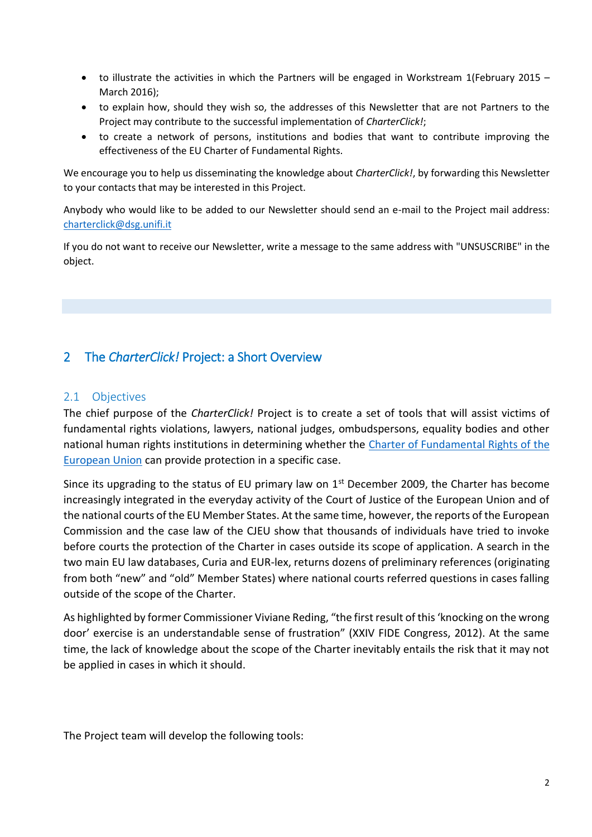- to illustrate the activities in which the Partners will be engaged in Workstream 1(February 2015 March 2016);
- to explain how, should they wish so, the addresses of this Newsletter that are not Partners to the Project may contribute to the successful implementation of *CharterClick!*;
- to create a network of persons, institutions and bodies that want to contribute improving the effectiveness of the EU Charter of Fundamental Rights.

We encourage you to help us disseminating the knowledge about *CharterClick!*, by forwarding this Newsletter to your contacts that may be interested in this Project.

Anybody who would like to be added to our Newsletter should send an e-mail to the Project mail address: [charterclick@dsg.unifi.it](mailto:charterclick@dsg.unifi.it)

If you do not want to receive our Newsletter, write a message to the same address with "UNSUSCRIBE" in the object.

## <span id="page-1-0"></span>2 The *CharterClick!* Project: a Short Overview

#### <span id="page-1-1"></span>2.1 Objectives

The chief purpose of the *CharterClick!* Project is to create a set of tools that will assist victims of fundamental rights violations, lawyers, national judges, ombudspersons, equality bodies and other national human rights institutions in determining whether the Charter of Fundamental Rights of the **[European Union](http://eur-lex.europa.eu/legal-content/EN/TXT/?uri=CELEX%3A12012P%2FTXT)** can provide protection in a specific case.

Since its upgrading to the status of EU primary law on  $1<sup>st</sup>$  December 2009, the Charter has become increasingly integrated in the everyday activity of the Court of Justice of the European Union and of the national courts of the EU Member States. At the same time, however, the reports of the European Commission and the case law of the CJEU show that thousands of individuals have tried to invoke before courts the protection of the Charter in cases outside its scope of application. A search in the two main EU law databases, Curia and EUR-lex, returns dozens of preliminary references (originating from both "new" and "old" Member States) where national courts referred questions in cases falling outside of the scope of the Charter.

As highlighted by former Commissioner Viviane Reding, "the first result of this 'knocking on the wrong door' exercise is an understandable sense of frustration" (XXIV FIDE Congress, 2012). At the same time, the lack of knowledge about the scope of the Charter inevitably entails the risk that it may not be applied in cases in which it should.

The Project team will develop the following tools: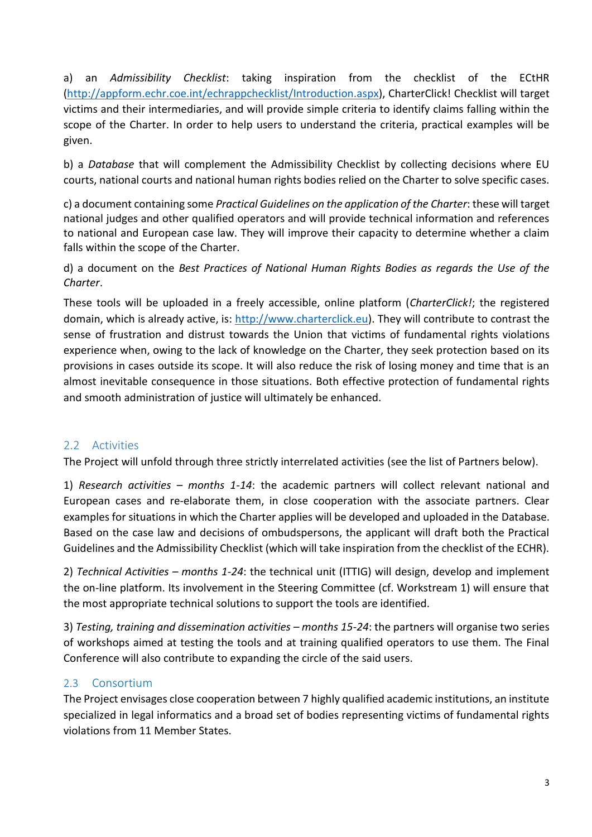a) an *Admissibility Checklist*: taking inspiration from the checklist of the ECtHR [\(http://appform.echr.coe.int/echrappchecklist/Introduction.aspx\)](http://appform.echr.coe.int/echrappchecklist/Introduction.aspx), CharterClick! Checklist will target victims and their intermediaries, and will provide simple criteria to identify claims falling within the scope of the Charter. In order to help users to understand the criteria, practical examples will be given.

b) a *Database* that will complement the Admissibility Checklist by collecting decisions where EU courts, national courts and national human rights bodies relied on the Charter to solve specific cases.

c) a document containing some *Practical Guidelines on the application of the Charter*: these will target national judges and other qualified operators and will provide technical information and references to national and European case law. They will improve their capacity to determine whether a claim falls within the scope of the Charter.

d) a document on the *Best Practices of National Human Rights Bodies as regards the Use of the Charter*.

These tools will be uploaded in a freely accessible, online platform (*CharterClick!*; the registered domain, which is already active, is: [http://www.charterclick.eu\)](http://www.charterclick.eu/). They will contribute to contrast the sense of frustration and distrust towards the Union that victims of fundamental rights violations experience when, owing to the lack of knowledge on the Charter, they seek protection based on its provisions in cases outside its scope. It will also reduce the risk of losing money and time that is an almost inevitable consequence in those situations. Both effective protection of fundamental rights and smooth administration of justice will ultimately be enhanced.

### <span id="page-2-0"></span>2.2 Activities

The Project will unfold through three strictly interrelated activities (see the list of Partners below).

1) *Research activities – months 1-14*: the academic partners will collect relevant national and European cases and re-elaborate them, in close cooperation with the associate partners. Clear examples for situations in which the Charter applies will be developed and uploaded in the Database. Based on the case law and decisions of ombudspersons, the applicant will draft both the Practical Guidelines and the Admissibility Checklist (which will take inspiration from the checklist of the ECHR).

2) *Technical Activities – months 1-24*: the technical unit (ITTIG) will design, develop and implement the on-line platform. Its involvement in the Steering Committee (cf. Workstream 1) will ensure that the most appropriate technical solutions to support the tools are identified.

3) *Testing, training and dissemination activities – months 15-24*: the partners will organise two series of workshops aimed at testing the tools and at training qualified operators to use them. The Final Conference will also contribute to expanding the circle of the said users.

#### <span id="page-2-1"></span>2.3 Consortium

The Project envisages close cooperation between 7 highly qualified academic institutions, an institute specialized in legal informatics and a broad set of bodies representing victims of fundamental rights violations from 11 Member States.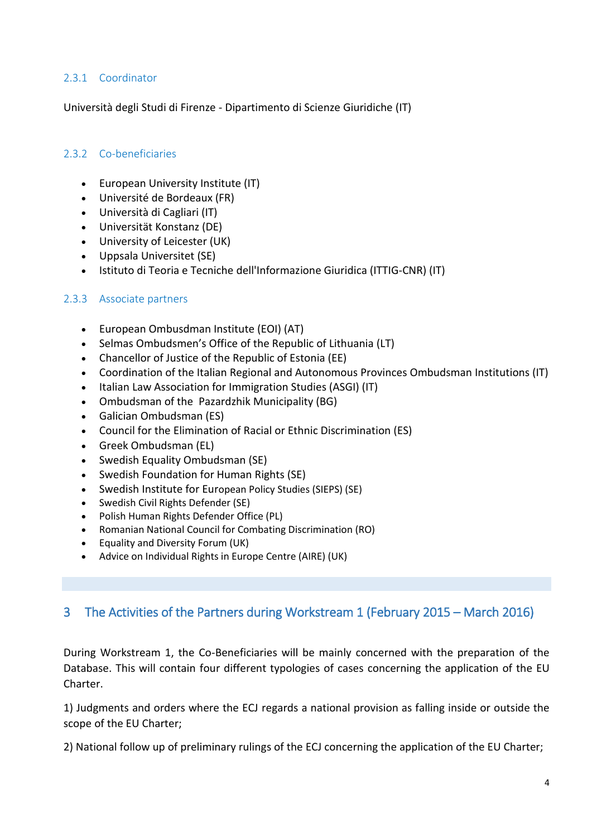#### <span id="page-3-0"></span>2.3.1 Coordinator

Università degli Studi di Firenze - Dipartimento di Scienze Giuridiche (IT)

#### <span id="page-3-1"></span>2.3.2 Co-beneficiaries

- European University Institute (IT)
- Université de Bordeaux (FR)
- Università di Cagliari (IT)
- Universität Konstanz (DE)
- University of Leicester (UK)
- Uppsala Universitet (SE)
- Istituto di Teoria e Tecniche dell'Informazione Giuridica (ITTIG-CNR) (IT)

#### <span id="page-3-2"></span>2.3.3 Associate partners

- European Ombusdman Institute (EOI) (AT)
- Selmas Ombudsmen's Office of the Republic of Lithuania (LT)
- Chancellor of Justice of the Republic of Estonia (EE)
- Coordination of the Italian Regional and Autonomous Provinces Ombudsman Institutions (IT)
- Italian Law Association for Immigration Studies (ASGI) (IT)
- Ombudsman of the Pazardzhik Municipality (BG)
- Galician Ombudsman (ES)
- Council for the Elimination of Racial or Ethnic Discrimination (ES)
- Greek Ombudsman (EL)
- Swedish Equality Ombudsman (SE)
- Swedish Foundation for Human Rights (SE)
- Swedish Institute for European Policy Studies (SIEPS) (SE)
- Swedish Civil Rights Defender (SE)
- Polish Human Rights Defender Office (PL)
- Romanian National Council for Combating Discrimination (RO)
- Equality and Diversity Forum (UK)
- Advice on Individual Rights in Europe Centre (AIRE) (UK)

### <span id="page-3-3"></span>3 The Activities of the Partners during Workstream 1 (February 2015 – March 2016)

During Workstream 1, the Co-Beneficiaries will be mainly concerned with the preparation of the Database. This will contain four different typologies of cases concerning the application of the EU Charter.

1) Judgments and orders where the ECJ regards a national provision as falling inside or outside the scope of the EU Charter;

2) National follow up of preliminary rulings of the ECJ concerning the application of the EU Charter;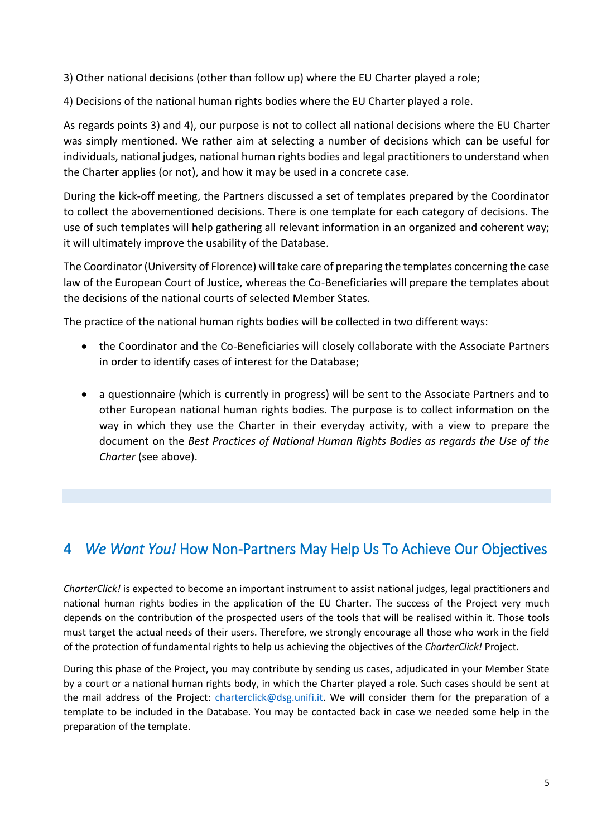3) Other national decisions (other than follow up) where the EU Charter played a role;

4) Decisions of the national human rights bodies where the EU Charter played a role.

As regards points 3) and 4), our purpose is not to collect all national decisions where the EU Charter was simply mentioned. We rather aim at selecting a number of decisions which can be useful for individuals, national judges, national human rights bodies and legal practitioners to understand when the Charter applies (or not), and how it may be used in a concrete case.

During the kick-off meeting, the Partners discussed a set of templates prepared by the Coordinator to collect the abovementioned decisions. There is one template for each category of decisions. The use of such templates will help gathering all relevant information in an organized and coherent way; it will ultimately improve the usability of the Database.

The Coordinator (University of Florence) will take care of preparing the templates concerning the case law of the European Court of Justice, whereas the Co-Beneficiaries will prepare the templates about the decisions of the national courts of selected Member States.

The practice of the national human rights bodies will be collected in two different ways:

- the Coordinator and the Co-Beneficiaries will closely collaborate with the Associate Partners in order to identify cases of interest for the Database;
- a questionnaire (which is currently in progress) will be sent to the Associate Partners and to other European national human rights bodies. The purpose is to collect information on the way in which they use the Charter in their everyday activity, with a view to prepare the document on the *Best Practices of National Human Rights Bodies as regards the Use of the Charter* (see above).

## <span id="page-4-0"></span>4 *We Want You!* How Non-Partners May Help Us To Achieve Our Objectives

*CharterClick!* is expected to become an important instrument to assist national judges, legal practitioners and national human rights bodies in the application of the EU Charter. The success of the Project very much depends on the contribution of the prospected users of the tools that will be realised within it. Those tools must target the actual needs of their users. Therefore, we strongly encourage all those who work in the field of the protection of fundamental rights to help us achieving the objectives of the *CharterClick!* Project.

During this phase of the Project, you may contribute by sending us cases, adjudicated in your Member State by a court or a national human rights body, in which the Charter played a role. Such cases should be sent at the mail address of the Project: [charterclick@dsg.unifi.it.](mailto:charterclick@dsg.unifi.it) We will consider them for the preparation of a template to be included in the Database. You may be contacted back in case we needed some help in the preparation of the template.